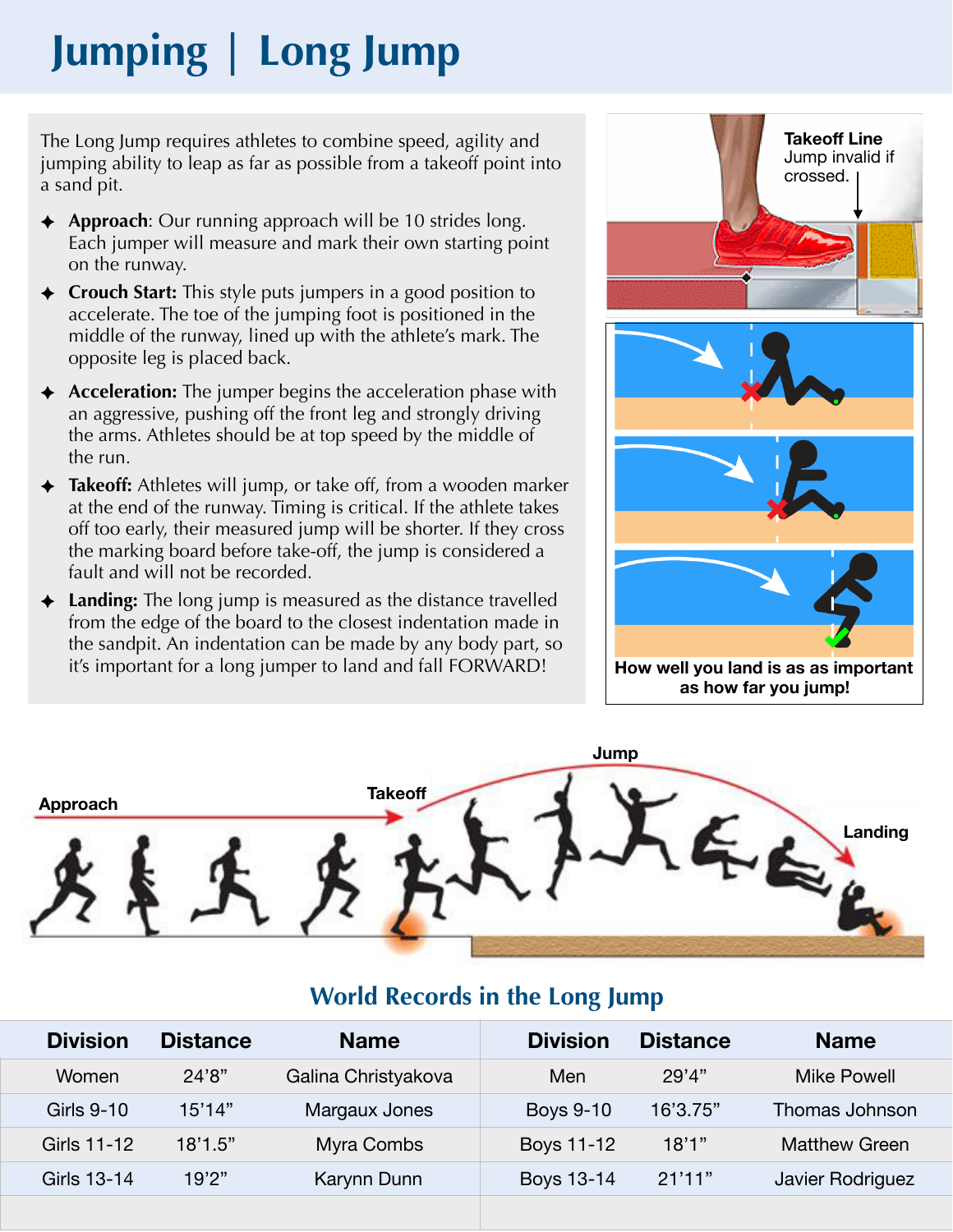# **Jumping | Long Jump**

The Long Jump requires athletes to combine speed, agility and jumping ability to leap as far as possible from a takeoff point into a sand pit.

- ✦ **Approach**: Our running approach will be 10 strides long. Each jumper will measure and mark their own starting point on the runway.
- ✦ **Crouch Start:** This style puts jumpers in a good position to accelerate. The toe of the jumping foot is positioned in the middle of the runway, lined up with the athlete's mark. The opposite leg is placed back.
- ✦ **Acceleration:** The jumper begins the acceleration phase with an aggressive, pushing off the front leg and strongly driving the arms. Athletes should be at top speed by the middle of the run.
- ✦ **Takeoff:** Athletes will jump, or take off, from a wooden marker at the end of the runway. Timing is critical. If the athlete takes off too early, their measured jump will be shorter. If they cross the marking board before take-off, the jump is considered a fault and will not be recorded.
- ✦ **Landing:** The long jump is measured as the distance travelled from the edge of the board to the closest indentation made in the sandpit. An indentation can be made by any body part, so it's important for a long jumper to land and fall FORWARD!





# **World Records in the Long Jump**

| <b>Division</b>   | <b>Distance</b> | <b>Name</b>         | <b>Division</b>  | <b>Distance</b> | <b>Name</b>        |
|-------------------|-----------------|---------------------|------------------|-----------------|--------------------|
| Women             | 24'8"           | Galina Christyakova | Men              | 29'4"           | <b>Mike Powell</b> |
| <b>Girls 9-10</b> | 15'14"          | Margaux Jones       | <b>Boys 9-10</b> | 16'3.75"        | Thomas Johnson     |
| Girls 11-12       | 18'1.5"         | Myra Combs          | Boys 11-12       | 18'1"           | Matthew Green      |
| Girls 13-14       | 19'2"           | Karynn Dunn         | Boys 13-14       | 21'11"          | Javier Rodriguez   |
|                   |                 |                     |                  |                 |                    |